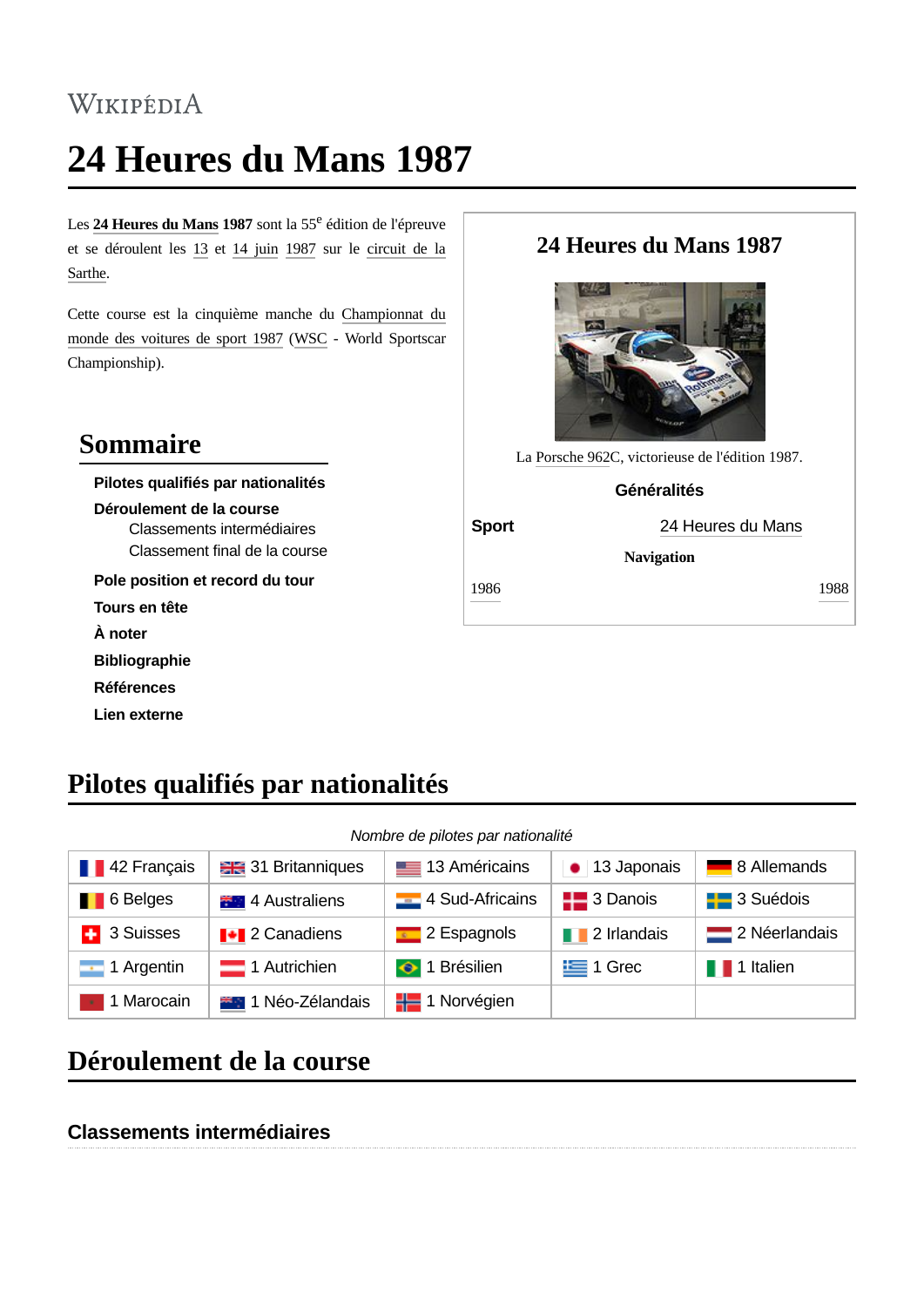# WIKIPÉDIA

# **24 Heures du Mans 1987**

Les **24 [Heures](https://fr.wikipedia.org/wiki/24_Heures_du_Mans) du Mans 1987** sont la 55 <sup>e</sup> édition de l'épreuve et se [déroulent](https://fr.wikipedia.org/wiki/Circuit_des_24_Heures) les [13](https://fr.wikipedia.org/wiki/13_juin_en_sport) et 14 [juin](https://fr.wikipedia.org/wiki/14_juin_en_sport) [1987](https://fr.wikipedia.org/wiki/1987_en_sport) sur le circuit de la Sarthe.

Cette course est la cinquième manche du [Championnat](https://fr.wikipedia.org/wiki/Championnat_du_monde_des_voitures_de_sport_1987) du monde des voitures de sport 1987 ([WSC](https://fr.wikipedia.org/wiki/Championnat_du_monde_des_voitures_de_sport) - World Sportscar Championship).

#### **Sommaire**

**Pilotes qualifiés par nationalités Déroulement de la course** Classements intermédiaires [Classement](#page-1-0) final de la course **Pole [position](#page-9-0) et record du tour Tours en tête**

**À noter**

**[Bibliographie](#page-9-1)**

**Références**

**Lien [externe](#page-9-2)**

#### **24 Heures du Mans 1987**



La [Porsche](https://fr.wikipedia.org/wiki/Porsche_962) 962C, victorieuse de l'édition 1987.

#### **Généralités**

**Sport** 24 [Heures](https://fr.wikipedia.org/wiki/24_Heures_du_Mans) du Mans

**Navigation**

[1986](https://fr.wikipedia.org/wiki/24_Heures_du_Mans_1986) [1988](https://fr.wikipedia.org/wiki/24_Heures_du_Mans_1988)

**Pilotes qualifiés par nationalités**

#### *Nombre de pilotes par nationalité*

| <b>142 Français</b>       | <b>ER</b> 31 Britanniques   | <b>EXECUTE:</b> 13 Américains | • 13 Japonais          | 8 Allemands            |
|---------------------------|-----------------------------|-------------------------------|------------------------|------------------------|
| <b>1</b> 6 Belges         | <b>14</b> 4 Australiens     | 4 Sud-Africains               | $\frac{1}{2}$ 3 Danois | <b>Exces</b> 3 Suédois |
| <b>4</b> 3 Suisses        | <b>I</b> + 2 Canadiens      | $\sim$ 2 Espagnols            | <b>12</b> Irlandais    | 2 Néerlandais          |
| $\blacksquare$ 1 Argentin | $\blacksquare$ 1 Autrichien | $\bigcirc$ 1 Brésilien        | $\equiv$ 1 Grec        | <b>1</b> 1 Italien     |
| 1 Marocain                | <b>***</b> 1 Néo-Zélandais  | $\frac{1}{2}$ 1 Norvégien     |                        |                        |

### **Déroulement de la course**

#### **Classements intermédiaires**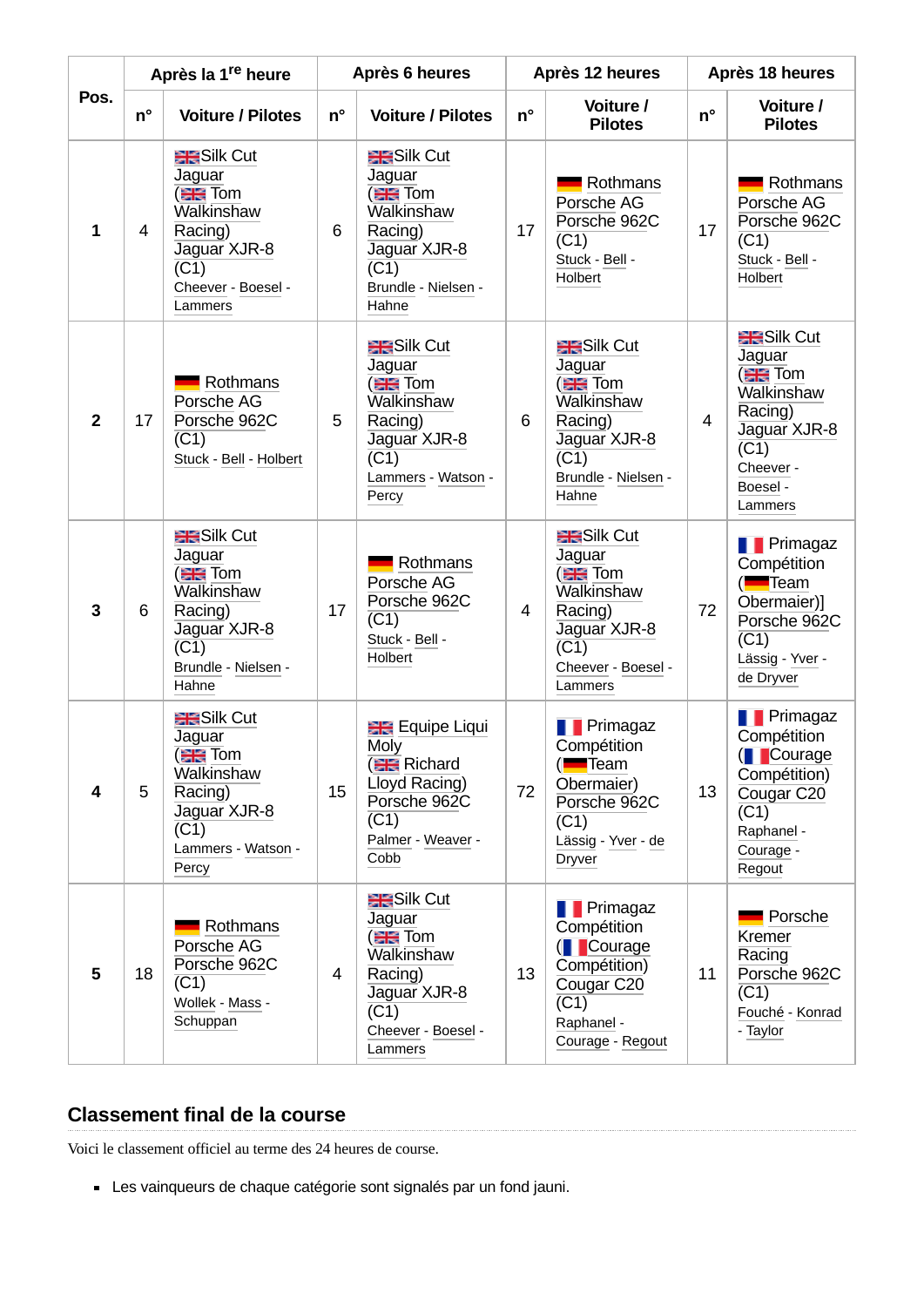|                |    | Après la 1 <sup>re</sup> heure                                                                                                                   |             | Après 6 heures                                                                                                                                         |    | Après 12 heures                                                                                                                              |             | Après 18 heures                                                                                                                                  |
|----------------|----|--------------------------------------------------------------------------------------------------------------------------------------------------|-------------|--------------------------------------------------------------------------------------------------------------------------------------------------------|----|----------------------------------------------------------------------------------------------------------------------------------------------|-------------|--------------------------------------------------------------------------------------------------------------------------------------------------|
| Pos.           | n° | <b>Voiture / Pilotes</b>                                                                                                                         | $n^{\circ}$ | <b>Voiture / Pilotes</b>                                                                                                                               | n° | Voiture /<br><b>Pilotes</b>                                                                                                                  | $n^{\circ}$ | Voiture /<br><b>Pilotes</b>                                                                                                                      |
| $\mathbf{1}$   | 4  | <b>RESILE Cut</b><br>Jaguar<br>( <sub>日</sub> Tom<br>Walkinshaw<br>Racing)<br>Jaguar XJR-8<br>$\overline{(C1)}$<br>Cheever - Boesel -<br>Lammers | 6           | <b>RESILE Cut</b><br><b>Jaguar</b><br>( <sub>日</sub> Tom<br>Walkinshaw<br>Racing)<br>Jaguar XJR-8<br>$\overline{(C1)}$<br>Brundle - Nielsen -<br>Hahne | 17 | Rothmans<br>Porsche AG<br>Porsche 962C<br>$\overline{(C1)}$<br>Stuck - Bell -<br>Holbert                                                     | 17          | Rothmans<br>Porsche AG<br>Porsche 962C<br>$\overline{(C1)}$<br>Stuck - Bell -<br>Holbert                                                         |
| $\overline{2}$ | 17 | Rothmans<br>Porsche AG<br>Porsche 962C<br>(C1)<br>Stuck - Bell - Holbert                                                                         | 5           | <b>RESILE Cut</b><br>Jaguar<br>$\equiv$ Tom<br>Walkinshaw<br>Racing)<br>Jaguar XJR-8<br>$\overline{(C1)}$<br>Lammers - Watson -<br>Percy               | 6  | <b>ER</b> Silk Cut<br>Jaguar<br>$\equiv$ Tom<br>Walkinshaw<br>Racing)<br>Jaguar XJR-8<br>$\overline{(C1)}$<br>Brundle - Nielsen -<br>Hahne   | 4           | <b>RESILE Cut</b><br>Jaguar<br>$\equiv$ Tom<br>Walkinshaw<br>Racing)<br>Jaguar XJR-8<br>$\overline{(C1)}$<br>Cheever -<br>Boesel -<br>Lammers    |
| 3              | 6  | <b>RESILE Cut</b><br>Jaguar<br>$\equiv$ Tom<br>Walkinshaw<br>Racing)<br>Jaguar XJR-8<br>$\overline{(C1)}$<br>Brundle - Nielsen -<br>Hahne        | 17          | Rothmans<br>Porsche AG<br>Porsche 962C<br>$\overline{\text{C1}}$<br>Stuck - Bell -<br>Holbert                                                          | 4  | <b>HE</b> Silk Cut<br>Jaguar<br>$\equiv$ Tom<br>Walkinshaw<br>Racing)<br>Jaguar XJR-8<br>(C1)<br>Cheever - Boesel -<br>Lammers               | 72          | <b>Primagaz</b><br>Compétition<br>( <b>Figure</b> Team<br>Obermaier)]<br>Porsche 962C<br>$\overline{(C1)}$<br>Lässig - Yver -<br>de Dryver       |
| 4              | 5  | <b>ER</b> Silk Cut<br>Jaguar<br><b>ER</b> Tom<br>Walkinshaw<br>Racing)<br>Jaguar XJR-8<br>(C1)<br>Lammers - Watson -<br>Percy                    | 15          | <b>Example Liqui</b><br><b>Moly</b><br><b>ER</b> Richard<br>Lloyd Racing)<br>Porsche 962C<br>$\overline{(C1)}$<br>Palmer - Weaver -<br>Cobb            | 72 | <b>T</b> Primagaz<br>Compétition<br>( <del>Ext</del> Team<br>Obermaier)<br>Porsche 962C<br>$\overline{(C1)}$<br>Lässig - Yver - de<br>Dryver | 13          | <b>T</b> Primagaz<br>Compétition<br>(Courage<br>Compétition)<br>Cougar C <sub>20</sub><br>$\overline{(C1)}$<br>Raphanel -<br>Courage -<br>Regout |
| 5              | 18 | Rothmans<br>Porsche AG<br>Porsche 962C<br>$\overline{(C1)}$<br>Wollek - Mass -<br>Schuppan                                                       | 4           | <b>RESILE Cut</b><br>Jaguar<br>( <del>日間</del> Tom<br>Walkinshaw<br>Racing)<br>Jaguar XJR-8<br>(C1)<br>Cheever - Boesel -<br>Lammers                   | 13 | Primagaz<br>Compétition<br>(Courage<br>Compétition)<br>Cougar C <sub>20</sub><br>$\overline{(C1)}$<br>Raphanel -<br>Courage - Regout         | 11          | Porsche<br>Kremer<br>Racing<br>Porsche 962C<br>$\overline{(C1)}$<br>Fouché - Konrad<br>- Taylor                                                  |

#### <span id="page-1-0"></span>**Classement final de la course**

Voici le classement officiel au terme des 24 heures de course.

Les vainqueurs de chaque catégorie sont signalés par un fond jauni.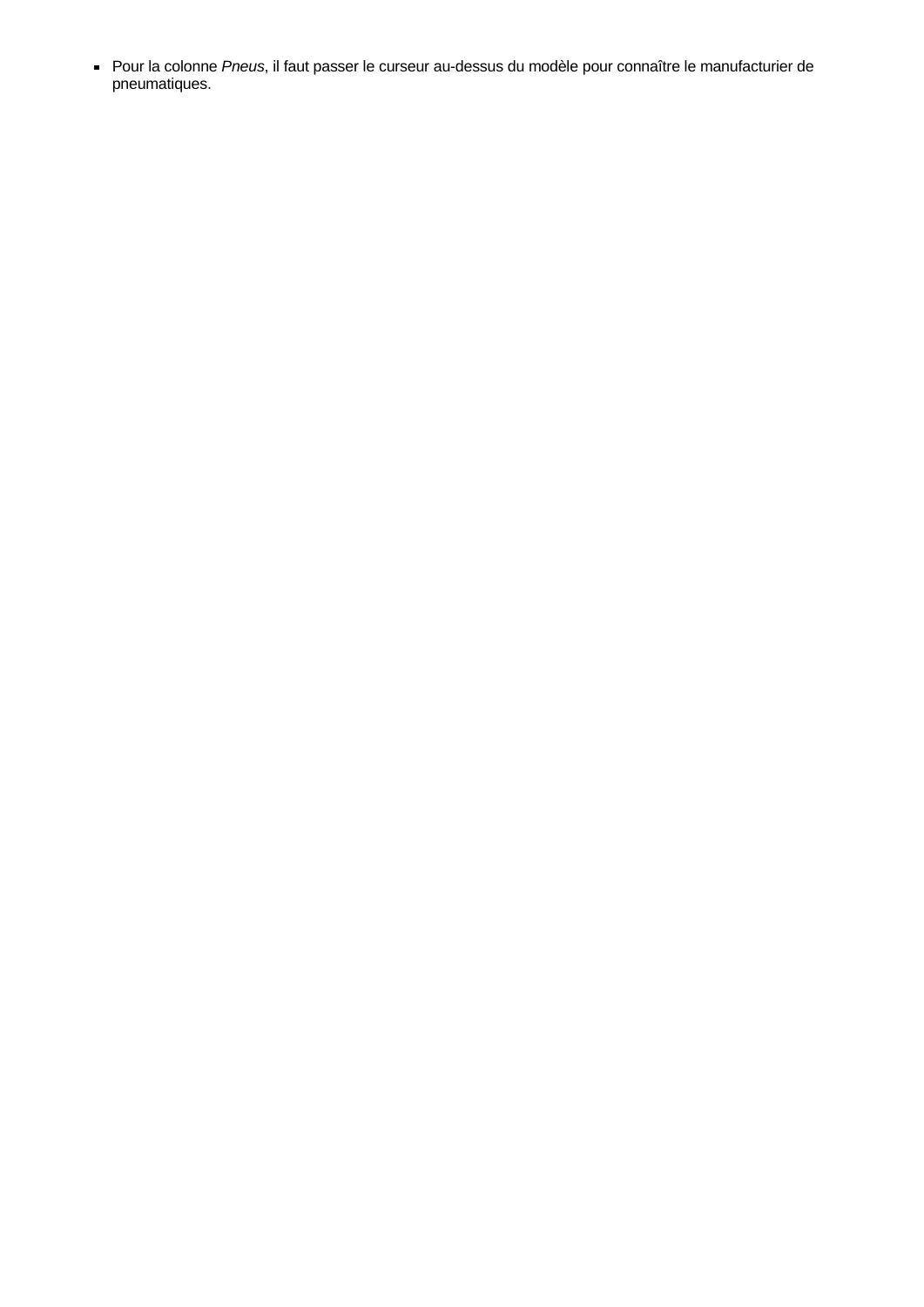Pour la colonne Pneus, il faut passer le curseur au-dessus du modèle pour connaître le manufacturier de pneumatiques.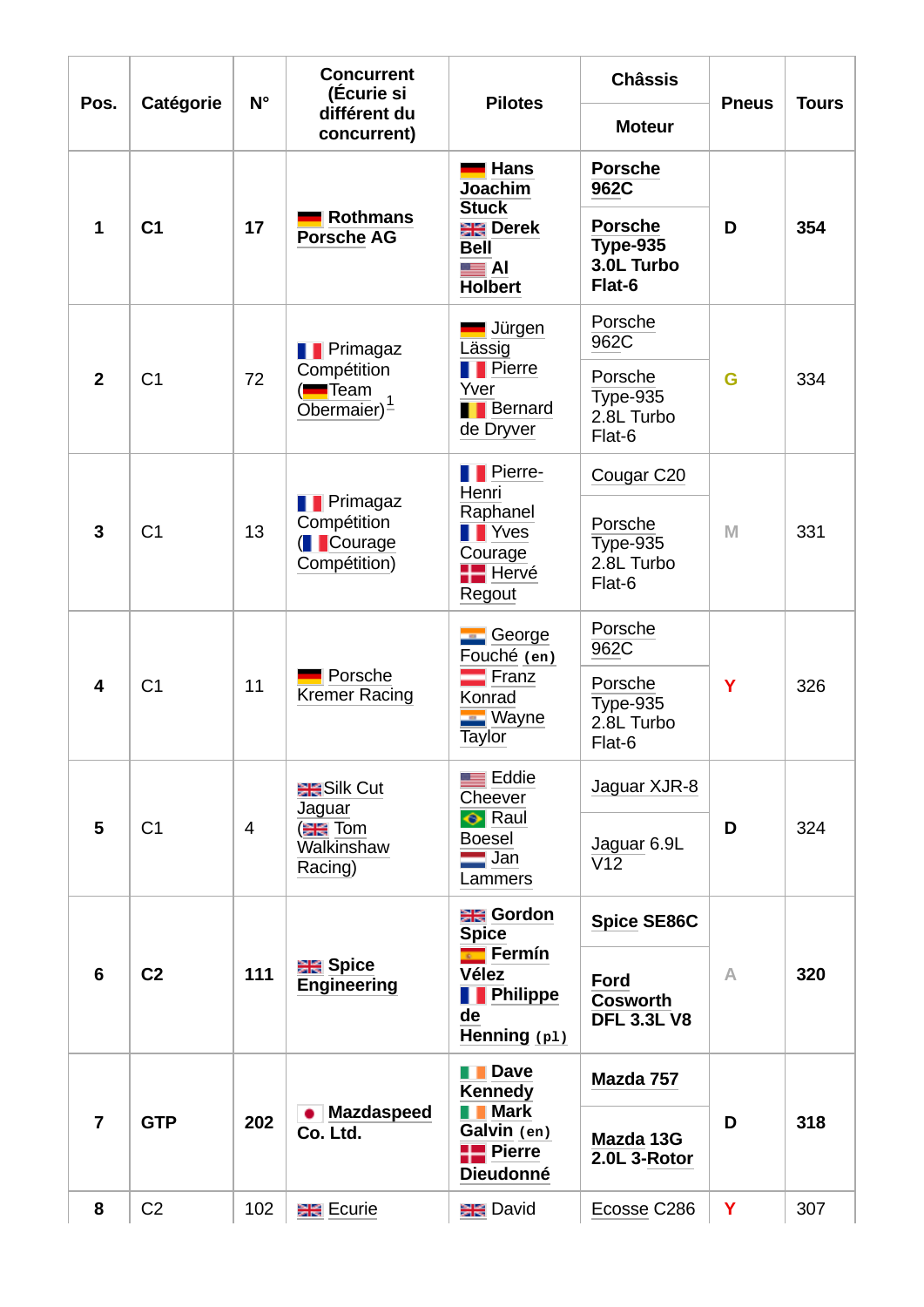| Pos.           |                | $N^{\circ}$ | <b>Concurrent</b><br>(Écurie si                              | <b>Pilotes</b>                                                                        |                                                           | <b>Pneus</b>                                         | <b>Tours</b> |     |
|----------------|----------------|-------------|--------------------------------------------------------------|---------------------------------------------------------------------------------------|-----------------------------------------------------------|------------------------------------------------------|--------------|-----|
|                | Catégorie      |             | différent du<br>concurrent)                                  |                                                                                       | <b>Moteur</b>                                             |                                                      |              |     |
|                |                |             |                                                              | <b>Hans</b><br><b>Joachim</b>                                                         | <b>Porsche</b><br>962C                                    |                                                      |              |     |
| $\mathbf{1}$   | C1             | 17          | <b>Rothmans</b><br><b>Porsche AG</b>                         | <b>Stuck</b><br><b>ER</b> Derek<br><b>Bell</b><br>$\blacksquare$ Al<br><b>Holbert</b> | <b>Porsche</b><br><b>Type-935</b><br>3.0L Turbo<br>Flat-6 | D                                                    | 354          |     |
|                |                |             | <b>T</b> Primagaz                                            | Jürgen<br>Lässig                                                                      | Porsche<br>962C                                           |                                                      |              |     |
| $\overline{2}$ | C1             | 72          | Compétition<br>( <b>Fi</b> Team<br>Obermaier $)^1$           |                                                                                       | <b>T</b> Pierre<br>Yver<br><b>Bernard</b><br>de Dryver    | Porsche<br><b>Type-935</b><br>2.8L Turbo<br>$Flat-6$ | G            | 334 |
|                |                |             |                                                              | <b>T</b> Pierre-<br>Henri                                                             | Cougar C20                                                | M                                                    |              |     |
| $\overline{3}$ | C1             | 13          | <b>T</b> Primagaz<br>Compétition<br>(Courage<br>Compétition) | Raphanel<br><b>T</b> Yves<br>Courage<br><b>H</b> Hervé<br>Regout                      | Porsche<br><b>Type-935</b><br>2.8L Turbo<br>Flat-6        |                                                      | 331          |     |
|                | C1             |             |                                                              | <b>E</b> George<br>Fouché (en)                                                        | Porsche<br>962C                                           |                                                      |              |     |
| 4              |                | 11          | Porsche<br><b>Kremer Racing</b>                              | $\blacksquare$ Franz<br>Konrad<br><b>Wayne</b><br>Taylor                              | Porsche<br><b>Type-935</b><br>2.8L Turbo<br>Flat-6        | Y                                                    | 326          |     |
|                |                |             | <b>RESILE Cut</b><br>Jaguar                                  | $\equiv$ Eddie<br>Cheever                                                             | Jaguar XJR-8                                              |                                                      |              |     |
| 5              | C1             | 4           | <b>ER</b> Tom<br>Walkinshaw<br>Racing)                       | $\bullet$ Raul<br><b>Boesel</b><br>$\blacksquare$ Jan<br>Lammers                      | Jaguar 6.9L<br>V12                                        | D                                                    | 324          |     |
|                |                |             |                                                              | <b>ER</b> Gordon<br><b>Spice</b>                                                      | <b>Spice SE86C</b>                                        |                                                      |              |     |
| 6              | C <sub>2</sub> | 111         | <b>BR</b> Spice<br><b>Engineering</b>                        | <b>Exercision</b><br><b>Vélez</b><br><b>T</b> Philippe<br>de<br>Henning (p1)          | Ford<br><b>Cosworth</b><br><b>DFL 3.3L V8</b>             | A                                                    | 320          |     |
|                |                |             |                                                              | <b>Dave</b><br><b>Kennedy</b>                                                         | Mazda 757                                                 |                                                      |              |     |
| 7              | <b>GTP</b>     | 202         | <b>Mazdaspeed</b><br>Co. Ltd.                                | <b>Mark</b><br>Galvin (en)<br><b>TE</b> Pierre<br><b>Dieudonné</b>                    | Mazda 13G<br>2.0L 3-Rotor                                 | D                                                    | 318          |     |
| 8              | C <sub>2</sub> | 102         | <b>BR</b> Ecurie                                             | <b>BR</b> David                                                                       | Ecosse C286                                               | Y                                                    | 307          |     |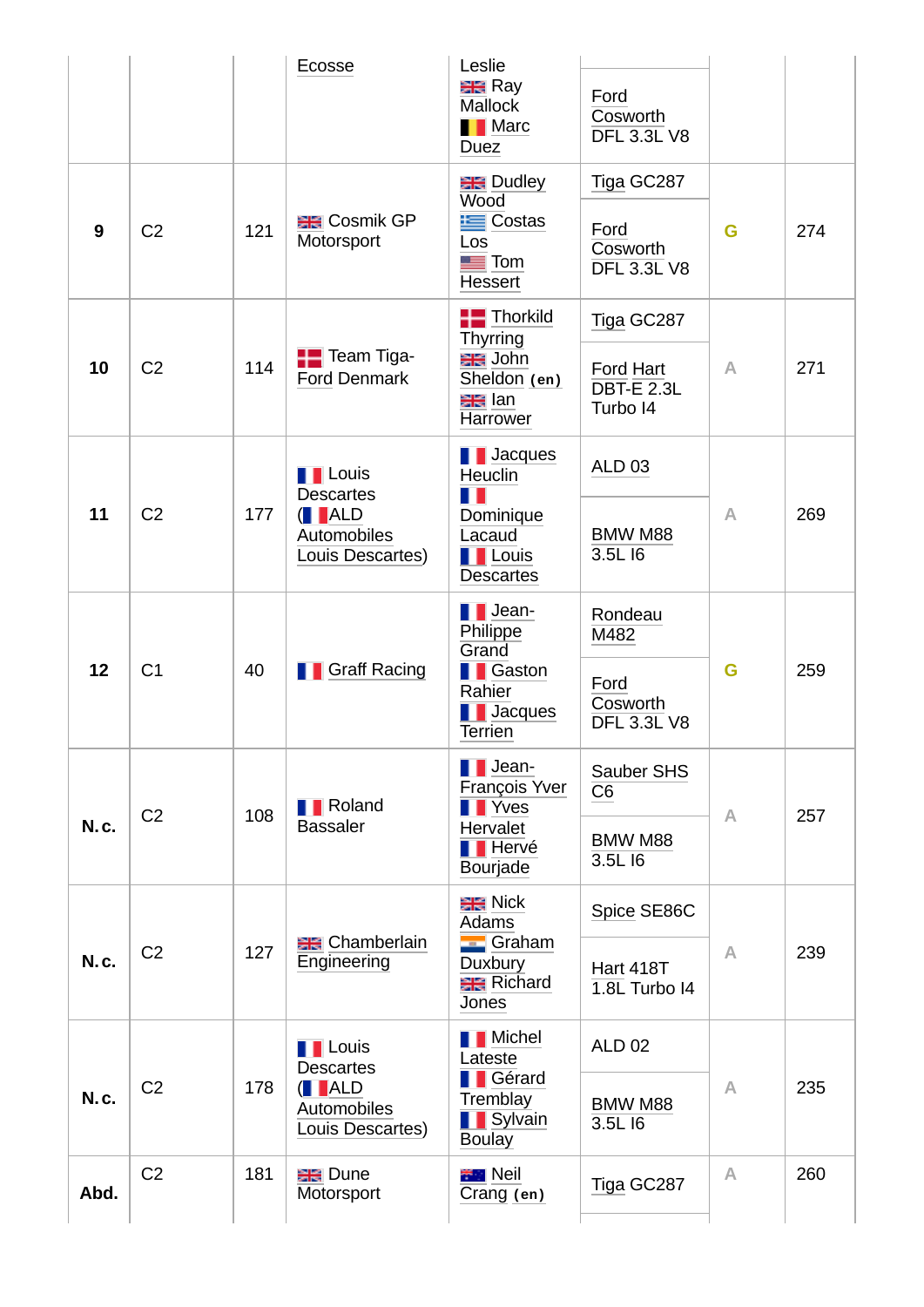|             |                |     | Ecosse                                                                                                                   | Leslie<br><b>ER</b> Ray<br><b>Mallock</b><br><b>Narc</b><br><b>Duez</b>                                           | Ford<br>Cosworth<br><b>DFL 3.3L V8</b>                    |              |     |
|-------------|----------------|-----|--------------------------------------------------------------------------------------------------------------------------|-------------------------------------------------------------------------------------------------------------------|-----------------------------------------------------------|--------------|-----|
| 9           | C <sub>2</sub> | 121 | <b>ER</b> Cosmik GP<br>Motorsport                                                                                        | <b>ER</b> Dudley<br>Wood<br><b>E</b> Costas<br>Los<br>$\blacksquare$ Tom<br><b>Hessert</b>                        | Tiga GC287<br>Ford<br>Cosworth<br><b>DFL 3.3L V8</b>      | G            | 274 |
| 10          | C <sub>2</sub> | 114 | <b>THE Team Tiga-</b><br><b>Ford Denmark</b>                                                                             | $H$ Thorkild<br>Thyrring<br><del>대표</del> John<br>Sheldon (en)<br><b>ele</b> lan<br>Harrower                      | Tiga GC287<br>Ford Hart<br><b>DBT-E 2.3L</b><br>Turbo I4  | $\wedge$     | 271 |
| 11          | C <sub>2</sub> | 177 | <b>T</b> Louis<br><b>Descartes</b><br>$\begin{array}{ c c }\n\hline\n\end{array}$ ALD<br>Automobiles<br>Louis Descartes) | $\blacksquare$ Jacques<br>Heuclin<br>$\blacksquare$<br>Dominique<br>Lacaud<br><b>TE</b> Louis<br><b>Descartes</b> | <b>ALD 03</b><br>BMW M88<br>3.5L I6                       | A            | 269 |
| 12          | C1             | 40  | <b>T</b> Graff Racing                                                                                                    | $\blacksquare$ Jean-<br>Philippe<br>Grand<br><b>T</b> Gaston<br>Rahier<br><b>T</b> Jacques<br><b>Terrien</b>      | Rondeau<br>M482<br>Ford<br>Cosworth<br><b>DFL 3.3L V8</b> | G            | 259 |
| <b>N.c.</b> | C <sub>2</sub> | 108 | <b>T</b> Roland<br><b>Bassaler</b>                                                                                       | $\blacksquare$ Jean-<br>François Yver<br><b>T</b> Yves<br><b>Hervalet</b><br><b>TE</b> Hervé<br><b>Bourjade</b>   | Sauber SHS<br>$\overline{C6}$<br>BMW M88<br>3.5L 16       | $\mathbb{A}$ | 257 |
| <b>N.c.</b> | C <sub>2</sub> | 127 | <b>ER</b> Chamberlain<br>Engineering                                                                                     | <b>ER</b> Nick<br>Adams<br><b>E</b> Graham<br>Duxbury<br><b>Richard</b><br>Jones                                  | Spice SE86C<br><b>Hart 418T</b><br>$1.8L$ Turbo I4        | $\mathbb{A}$ | 239 |
| <b>N.c.</b> | C <sub>2</sub> | 178 | <b>T</b> Louis<br><b>Descartes</b><br>( <b>I</b> ALD<br>Automobiles<br>Louis Descartes)                                  | <b>Nichel</b><br>Lateste<br><b>T</b> Gérard<br>Tremblay<br><b>T</b> Sylvain<br><b>Boulay</b>                      | <b>ALD 02</b><br>BMW M88<br>3.5L I6                       | A            | 235 |
| Abd.        | C <sub>2</sub> | 181 | <b>BR</b> Dune<br>Motorsport                                                                                             | <b>THE Neil</b><br>Crang (en)                                                                                     | Tiga GC287                                                | $\wedge$     | 260 |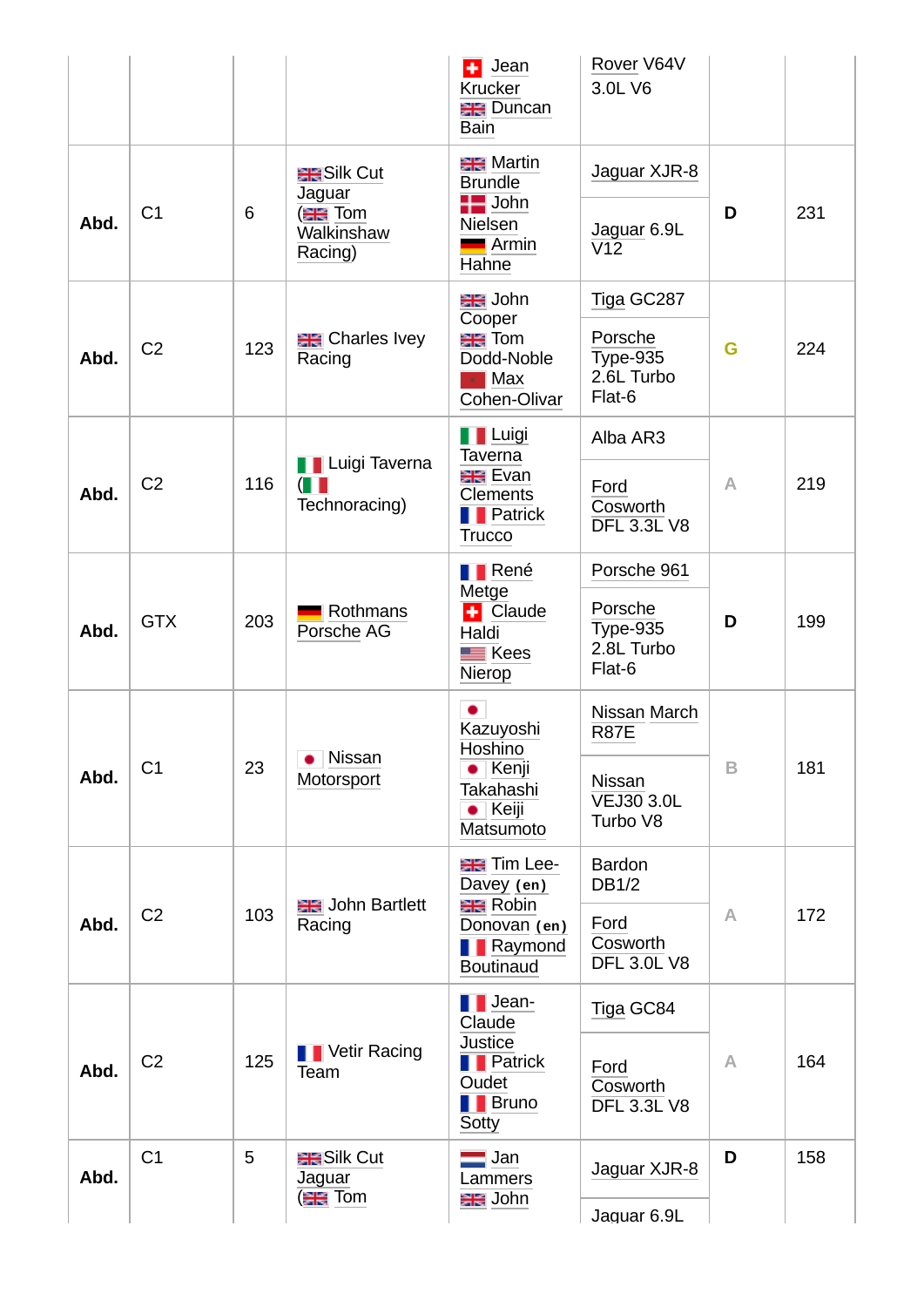|      |                |     |                                                                       | $\frac{1}{2}$ Jean<br>Krucker<br><b>BR</b> Duncan<br>Bain                                     | Rover V64V<br>3.0L V6                              |          |     |
|------|----------------|-----|-----------------------------------------------------------------------|-----------------------------------------------------------------------------------------------|----------------------------------------------------|----------|-----|
| Abd. | C1             | 6   | <b>RESILE Cut</b><br>Jaguar<br><b>ER</b> Tom<br>Walkinshaw<br>Racing) | <b>ER</b> Martin<br><b>Brundle</b><br>$\blacksquare$ John<br>Nielsen<br><b>Armin</b><br>Hahne | Jaguar XJR-8<br>Jaguar 6.9L<br>$\overline{V12}$    | D        | 231 |
|      |                |     |                                                                       | <del>대</del> John<br>Cooper                                                                   | Tiga GC287                                         |          |     |
| Abd. | C <sub>2</sub> | 123 | <b>ER</b> Charles Ivey<br>Racing                                      | <b>ER</b> Tom<br>Dodd-Noble<br>$\blacksquare$ Max<br>Cohen-Olivar                             | Porsche<br><b>Type-935</b><br>2.6L Turbo<br>Flat-6 | G        | 224 |
|      |                |     |                                                                       | <b>T</b> Luigi<br><b>Taverna</b>                                                              | Alba AR3                                           |          |     |
| Abd. | C <sub>2</sub> | 116 | <b>TE</b> Luigi Taverna<br>$(\blacksquare$<br>Technoracing)           | <b>Exan</b> Evan<br><b>Clements</b><br><b>T</b> Patrick<br><b>Trucco</b>                      | Ford<br>Cosworth<br><b>DFL 3.3L V8</b>             | $\wedge$ | 219 |
|      |                |     |                                                                       | <b>TRené</b><br>Metge                                                                         | Porsche 961                                        |          |     |
| Abd. | <b>GTX</b>     | 203 | Rothmans<br>Porsche AG                                                | + Claude<br>Haldi<br>$\equiv$ Kees<br>Nierop                                                  | Porsche<br><b>Type-935</b><br>2.8L Turbo<br>Flat-6 | D        | 199 |
|      |                |     | Nissan                                                                | Kazuyoshi<br>Hoshino                                                                          | Nissan March<br><b>R87E</b>                        |          |     |
| Abd. | C1             | 23  | ٠<br>Motorsport                                                       | $\bullet$ Kenji<br>Takahashi<br>$\bullet$ Keiji<br>Matsumoto                                  | <b>Nissan</b><br><b>VEJ30 3.0L</b><br>Turbo V8     | B        | 181 |
|      |                |     |                                                                       | <b>ER</b> Tim Lee-<br>Davey (en)                                                              | <b>Bardon</b><br><b>DB1/2</b>                      |          |     |
| Abd. | C <sub>2</sub> | 103 | <b>BR</b> John Bartlett<br>Racing                                     | <b>ER</b> Robin<br>Donovan (en)<br><b>T</b> Raymond<br><b>Boutinaud</b>                       | Ford<br>Cosworth<br><b>DFL 3.0L V8</b>             | A        | 172 |
|      |                |     |                                                                       | $\blacksquare$ Jean-<br>Claude                                                                | Tiga GC84                                          |          |     |
| Abd. | C <sub>2</sub> | 125 | <b>T</b> Vetir Racing<br>Team                                         | <b>Justice</b><br><b>F</b> Patrick<br>Oudet<br><b>Bruno</b><br>Sotty                          | Ford<br>Cosworth<br><b>DFL 3.3L V8</b>             | A        | 164 |
| Abd. | C1             | 5   | <b>BESilk Cut</b><br>Jaguar                                           | $\blacksquare$ Jan<br>Lammers                                                                 | Jaguar XJR-8                                       | D        | 158 |
|      |                |     | <b>ER</b> Tom                                                         | <del>대</del> John                                                                             | Jaquar 6.9L                                        |          |     |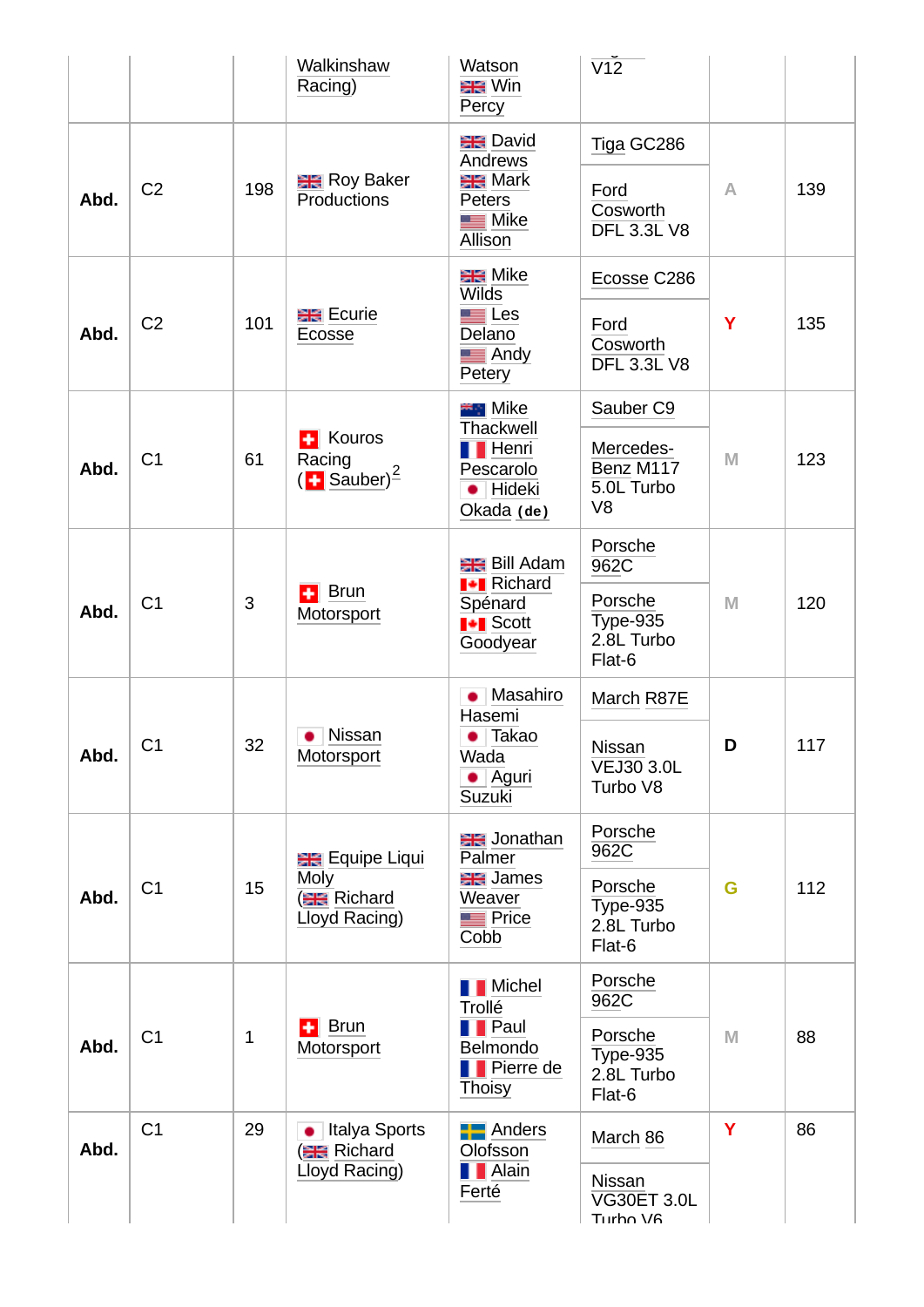|      |                |                 | Walkinshaw<br>Racing)                             | Watson<br>黑 Win<br>Percy                                       | $\overline{V12}$                                       |          |     |
|------|----------------|-----------------|---------------------------------------------------|----------------------------------------------------------------|--------------------------------------------------------|----------|-----|
|      |                |                 | <b>Re</b> Roy Baker                               | <b>BR</b> David<br>Andrews<br><b>ER</b> Mark                   | Tiga GC286                                             |          |     |
| Abd. | C <sub>2</sub> | 198             | <b>Productions</b>                                | <b>Peters</b><br>$\blacksquare$ Mike<br><b>Allison</b>         | Ford<br>Cosworth<br><b>DFL 3.3L V8</b>                 | $\wedge$ | 139 |
|      |                |                 |                                                   | <b>ER</b> Mike<br><b>Wilds</b>                                 | Ecosse C286                                            |          |     |
| Abd. | C <sub>2</sub> | 101             | <b>BR</b> Ecurie<br>Ecosse                        | $\blacksquare$ Les<br>Delano<br>$\blacksquare$ Andy<br>Petery  | Ford<br>Cosworth<br><b>DFL 3.3L V8</b>                 | Y        | 135 |
|      |                |                 | <b>E</b> Kouros                                   | <b>EL</b> Mike<br>Thackwell                                    | Sauber <sub>C9</sub>                                   |          |     |
| Abd. | C1             | 61              | Racing<br>$(\blacksquare$ Sauber) <sup>2</sup>    | <b>T</b> Henri<br>Pescarolo<br>· Hideki<br>Okada (de)          | Mercedes-<br>Benz M117<br>5.0L Turbo<br>V <sub>8</sub> | M        | 123 |
|      |                |                 |                                                   | <b>ER</b> Bill Adam                                            | Porsche<br>962C                                        |          |     |
| Abd. | C1             | Brun<br>÷I<br>3 | Motorsport                                        | <b>H</b> Richard<br>Spénard<br><b>I</b> Scott<br>Goodyear      | Porsche<br><b>Type-935</b><br>2.8L Turbo<br>Flat-6     | M        | 120 |
|      |                |                 |                                                   | • Masahiro<br>Hasemi                                           | March R87E                                             |          |     |
| Abd. | C1             | 32              | Nissan<br>Motorsport                              | • Takao<br>Wada<br>$\bullet$ Aguri<br>Suzuki                   | <b>Nissan</b><br><b>VEJ30 3.0L</b><br>Turbo V8         | D        | 117 |
|      |                |                 | <b>ER</b> Equipe Liqui                            | <b>BR</b> Jonathan<br>Palmer                                   | Porsche<br>962C                                        |          |     |
| Abd. | C1             | 15              | <b>Moly</b><br><b>ER</b> Richard<br>Lloyd Racing) | <b>ER</b> James<br>Weaver<br><b>Price</b><br>Cobb              | Porsche<br><b>Type-935</b><br>2.8L Turbo<br>Flat-6     | G        | 112 |
|      |                |                 |                                                   | <b>T</b> Michel<br>Trollé                                      | Porsche<br>962C                                        |          |     |
| Abd. | C1             | $\mathbf{1}$    | <b>Brun</b><br>÷<br>Motorsport                    | <b>T</b> Paul<br>Belmondo<br><b>Pierre de</b><br><b>Thoisy</b> | Porsche<br><b>Type-935</b><br>2.8L Turbo<br>Flat-6     | M        | 88  |
| Abd. | C1             | 29              | • Italya Sports<br><b>ER</b> Richard              | $\blacksquare$ Anders<br>Olofsson                              | March 86                                               | Ÿ        | 86  |
|      |                |                 | Lloyd Racing)                                     | <b>T</b> Alain<br>Ferté                                        | Nissan<br><b>VG30ET 3.0L</b><br>Turho V <sub>6</sub>   |          |     |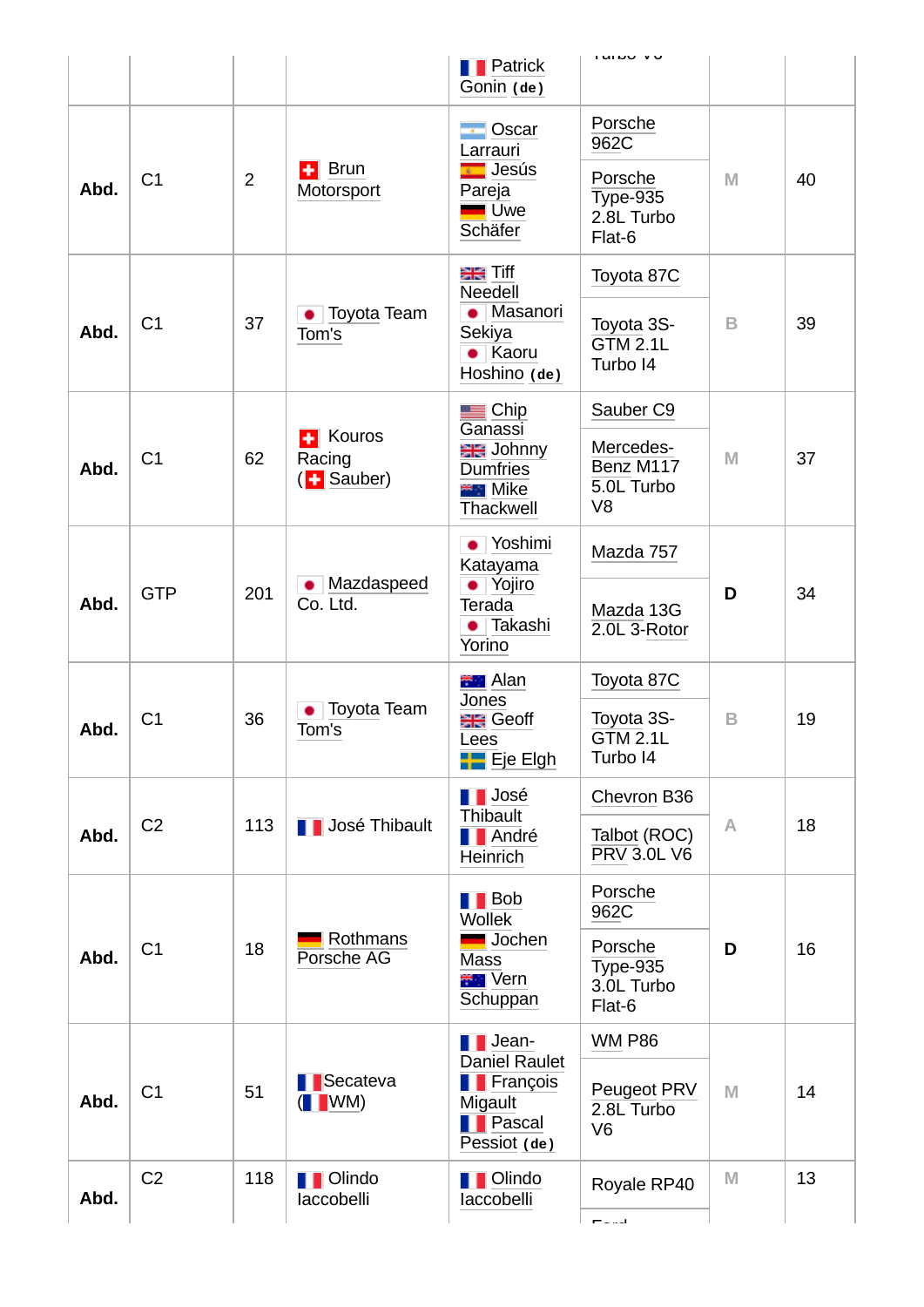|      |                |                |                                                   | <b>T</b> Patrick                                                                      | i urbo ve                                              |   |    |
|------|----------------|----------------|---------------------------------------------------|---------------------------------------------------------------------------------------|--------------------------------------------------------|---|----|
|      |                |                |                                                   | Gonin (de)                                                                            |                                                        |   |    |
|      |                |                |                                                   | $\overline{\cdot}$ Oscar<br>Larrauri                                                  | Porsche<br>962C                                        |   |    |
| Abd. | C1             | $\overline{2}$ | $\left  \cdot \right $ Brun<br>Motorsport         | <b>E</b> Jesús<br>Pareja<br><b>Uwe</b><br>Schäfer                                     | Porsche<br><b>Type-935</b><br>2.8L Turbo<br>Flat-6     | M | 40 |
|      |                |                |                                                   | ala Tiff<br>Needell                                                                   | Toyota 87C                                             |   |    |
| Abd. | C1             | 37             | <b>Toyota Team</b><br>Tom's                       | Masanori<br>Sekiya<br>$\bullet$ Kaoru<br>Hoshino (de)                                 | Toyota 3S-<br>$GTM$ 2.1L<br>Turbo I4                   | B | 39 |
|      |                |                |                                                   | $\equiv$ Chip                                                                         | Sauber <sub>C9</sub>                                   |   |    |
| Abd. | C1             | 62             | Kouros<br>÷<br>Racing<br>( <mark>H</mark> Sauber) | Ganassi<br><b>BR</b> Johnny<br><b>Dumfries</b><br><b>EFT</b> Mike<br>Thackwell        | Mercedes-<br>Benz M117<br>5.0L Turbo<br>V <sub>8</sub> | M | 37 |
|      |                | 201            | Mazdaspeed<br>$\bullet$<br>Co. Ltd.               | √Yoshimi<br>۰<br>Katayama<br>• Yojiro<br>Terada<br>Takashi<br>Yorino                  | Mazda 757                                              | D |    |
| Abd. | <b>GTP</b>     |                |                                                   |                                                                                       | Mazda 13G<br>2.0L 3-Rotor                              |   | 34 |
|      |                |                |                                                   | <b>FFI</b> Alan<br>Jones                                                              | Toyota 87C                                             |   |    |
| Abd. | C1             | 36             | Toyota Team<br>Tom's                              | <del>≣E</del> l Geoff<br>ees-<br><b>HE</b> Eje Elgh                                   | Toyota 3S-<br><b>GTM 2.1L</b><br>Turbo I4              | B | 19 |
|      |                |                |                                                   | <b>TE</b> José<br>Thibault                                                            | Chevron B36                                            |   |    |
| Abd. | C <sub>2</sub> | 113            | <b>T</b> José Thibault                            | <b>T</b> André<br>Heinrich                                                            | Talbot (ROC)<br><b>PRV 3.0L V6</b>                     | Α | 18 |
|      |                |                |                                                   | $\blacksquare$ Bob<br><b>Wollek</b>                                                   | Porsche<br>962C                                        |   |    |
| Abd. | C1             | 18             | Rothmans<br>Porsche AG                            | Jochen<br>Mass<br><b>FFI</b> Vern<br>Schuppan                                         | Porsche<br><b>Type-935</b><br>3.0L Turbo<br>Flat-6     | D | 16 |
|      |                |                |                                                   | $\blacksquare$ Jean-                                                                  | <b>WM P86</b>                                          |   |    |
| Abd. | C1             | 51             | <b>B</b> Secateva<br>$($ MM)                      | <b>Daniel Raulet</b><br><b>François</b><br>Migault<br><b>T</b> Pascal<br>Pessiot (de) | Peugeot PRV<br>2.8L Turbo<br>V <sub>6</sub>            | M | 14 |
| Abd. | C <sub>2</sub> | 118            | <b>T</b> Olindo<br>laccobelli                     | <b>T</b> Olindo<br>laccobelli                                                         | Royale RP40                                            | M | 13 |
|      |                |                |                                                   |                                                                                       | المساوية                                               |   |    |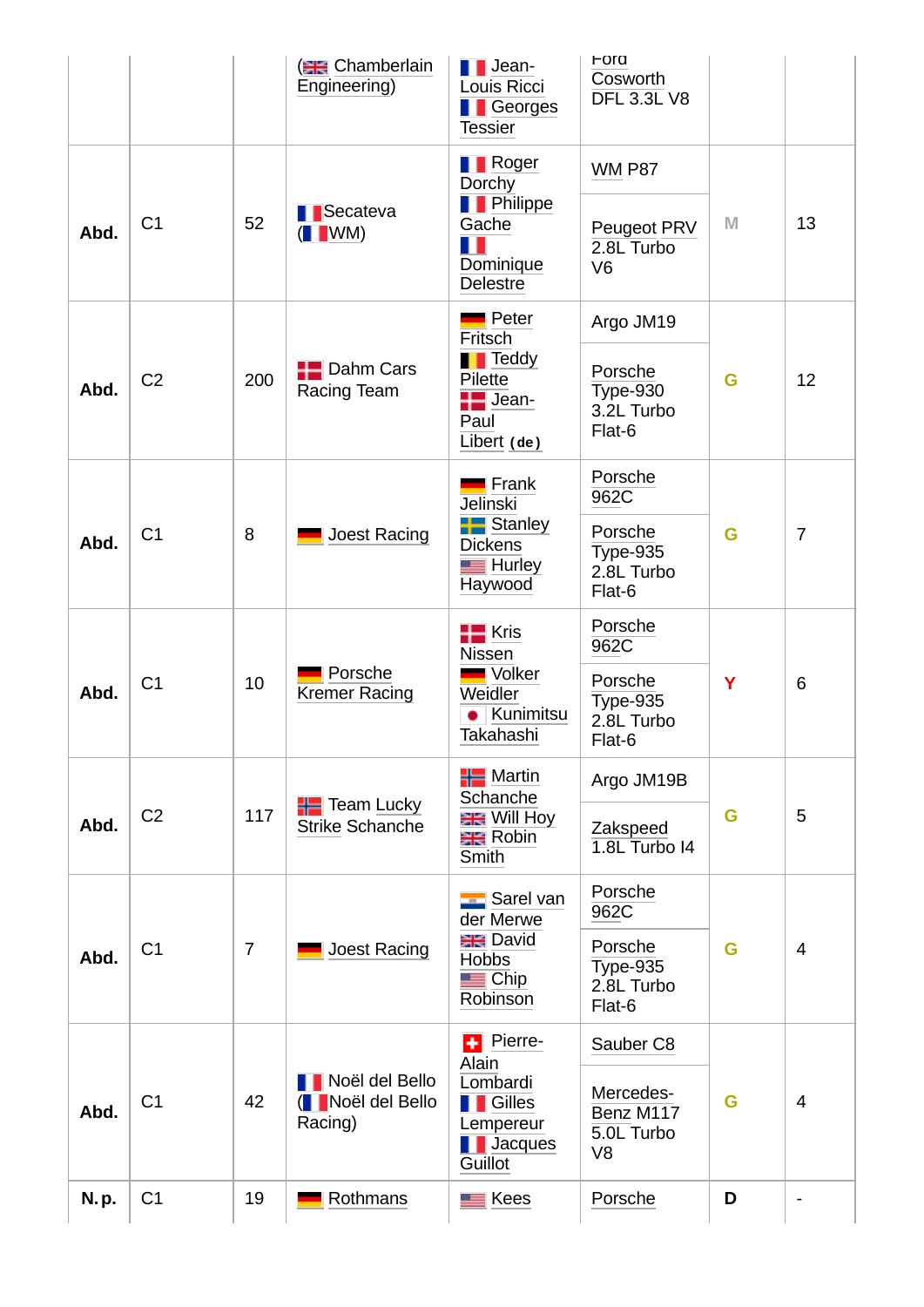|      |                |                | <b>ER</b> Chamberlain<br>Engineering)                      | $\blacksquare$ Jean-<br>Louis Ricci<br><b>T</b> Georges<br><b>Tessier</b> | For a<br>Cosworth<br><b>DFL 3.3L V8</b>                |   |                              |
|------|----------------|----------------|------------------------------------------------------------|---------------------------------------------------------------------------|--------------------------------------------------------|---|------------------------------|
|      |                |                |                                                            | <b>T</b> Roger<br>Dorchy                                                  | <b>WM P87</b>                                          |   |                              |
| Abd. | C1             | 52             | <b>B</b> Secateva<br>$($ WM $)$                            | <b>T</b> Philippe<br>Gache<br>╻╻<br>Dominique<br><b>Delestre</b>          | Peugeot PRV<br>2.8L Turbo<br>V <sub>6</sub>            | M | 13                           |
|      |                |                |                                                            | Peter<br>Fritsch                                                          | Argo JM19                                              |   |                              |
| Abd. | C <sub>2</sub> | 200            | $\blacksquare$ Dahm Cars<br>Racing Team                    | <b>T</b> Teddy<br>Pilette<br>$\blacksquare$ Jean-<br>Paul<br>Libert (de)  | Porsche<br>$Type-930$<br>3.2L Turbo<br>Flat-6          | G | 12                           |
|      |                |                |                                                            | Frank<br><b>Jelinski</b>                                                  | Porsche<br>962C                                        |   |                              |
| Abd. | C1             | 8              | Joest Racing                                               | <b>Form</b> Stanley<br><b>Dickens</b><br>$\equiv$ Hurley<br>Haywood       | Porsche<br><b>Type-935</b><br>2.8L Turbo<br>Flat-6     | G | $\overline{7}$               |
|      |                |                | <b>HE</b> Kris<br><b>Nissen</b>                            | Porsche<br>962C                                                           |                                                        |   |                              |
| Abd. | C1             | 10             | Porsche<br><b>Kremer Racing</b>                            | Volker<br>Weidler<br>  Kunimitsu<br>Takahashi                             | Porsche<br><b>Type-935</b><br>2.8L Turbo<br>Flat-6     | Y | 6                            |
|      |                |                | $H$ Team Lucky                                             | $\blacksquare$ Martin<br>Schanche                                         | Argo JM19B                                             |   |                              |
| Abd. | C <sub>2</sub> | 117            | <b>Strike Schanche</b>                                     | <b>ER</b> Will Hoy<br>$R$ obin<br>Smith                                   | Zakspeed<br>$1.8L$ Turbo I4                            | G | 5                            |
|      |                |                |                                                            | Sarel van<br>der Merwe                                                    | Porsche<br>962C                                        |   |                              |
| Abd. | C1             | $\overline{7}$ | Joest Racing                                               | <b>BR</b> David<br><b>Hobbs</b><br>$\blacksquare$ Chip<br>Robinson        | Porsche<br>Type-935<br>2.8L Turbo<br>Flat-6            | G | $\overline{4}$               |
|      |                |                |                                                            | <b>+</b> Pierre-<br>Alain                                                 | Sauber <sub>C8</sub>                                   |   |                              |
| Abd. | C1             | 42             | <b>Noël del Bello</b><br><b>INoël del Bello</b><br>Racing) | Lombardi<br><b>T</b> Gilles<br>Lempereur<br><b>I</b> Jacques<br>Guillot   | Mercedes-<br>Benz M117<br>5.0L Turbo<br>V <sub>8</sub> | G | 4                            |
| N.p. | C1             | 19             | Rothmans                                                   | $\equiv$ Kees                                                             | Porsche                                                | D | $\qquad \qquad \blacksquare$ |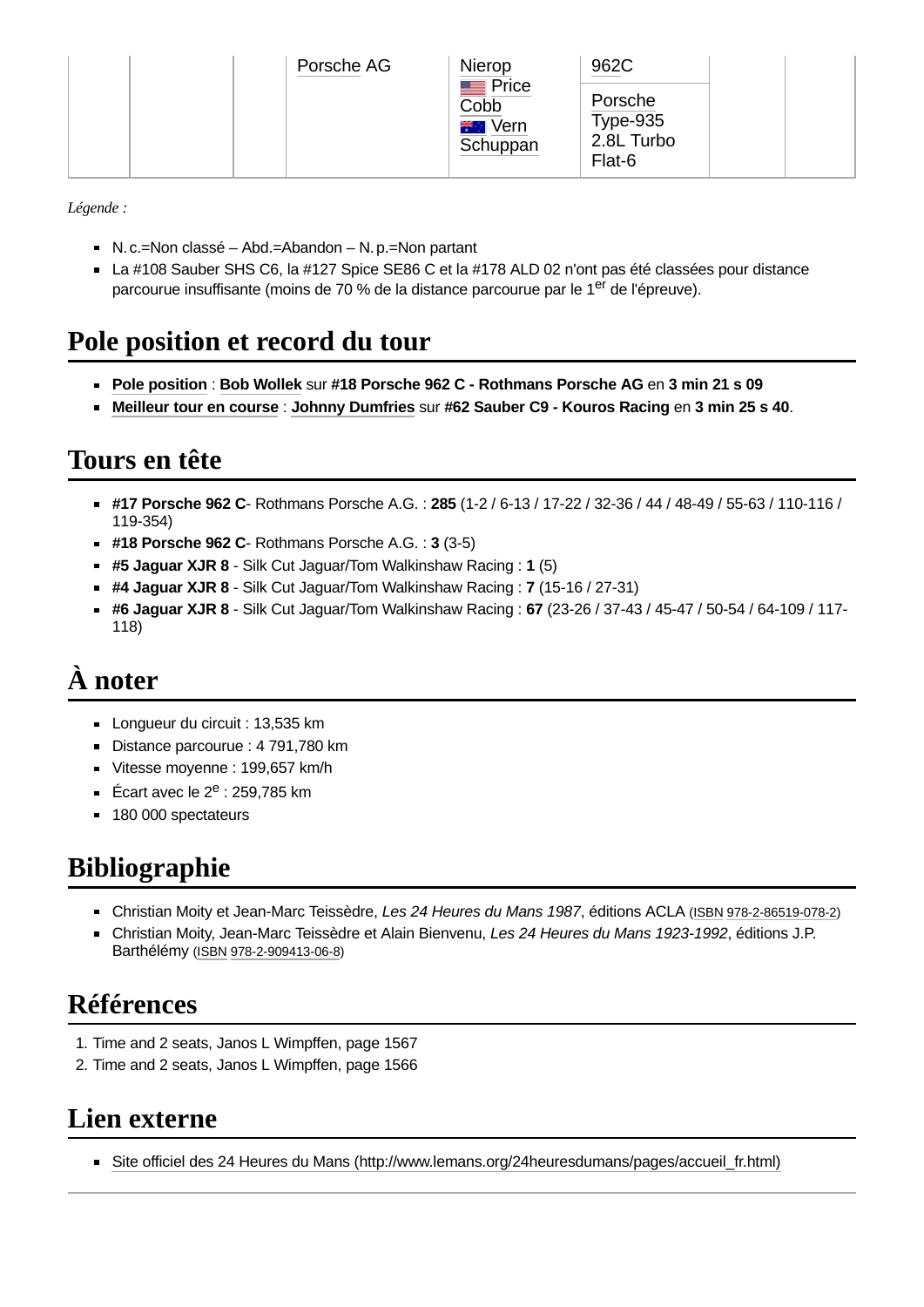|  | Porsche AG | Nierop                                          | 962C                                           |  |
|--|------------|-------------------------------------------------|------------------------------------------------|--|
|  |            | Price<br>Cobb<br>Vern<br>e e contro<br>Schuppan | Porsche<br>Type-9 $35$<br>2.8L Turbo<br>Flat-6 |  |

*Légende :*

- $N.C.=Non classé Abd.=Abandon N.p.=Non partant$
- $\blacksquare$  La #108 Sauber SHS C6, la #127 Spice SE86 C et la #178 ALD 02 n'ont pas été classées pour distance parcourue insuffisante (moins de 70 % de la distance parcourue par le 1<sup>er</sup> de l'épreuve).

### <span id="page-9-0"></span>**Pole position et record du tour**

- **Pole [position](https://fr.wikipedia.org/wiki/Pole_position)** : **Bob [Wollek](https://fr.wikipedia.org/wiki/Bob_Wollek)** sur **#18 Porsche 962 C - Rothmans Porsche AG** en **3 min 21 s 09**
- **[Meilleur](https://fr.wikipedia.org/wiki/Meilleur_tour_en_course) tour en course** : **Johnny [Dumfries](https://fr.wikipedia.org/wiki/Johnny_Dumfries)** sur **#62 Sauber C9 - Kouros Racing** en **3 min 25 s 40**.

### **Tours en tête**

- **#17 Porsche 962 C** Rothmans Porsche A.G. : **285** (1-2 / 6-13 / 17-22 / 32-36 / 44 / 48-49 / 55-63 / 110-116 / 119-354)
- **#18 Porsche 962 C** Rothmans Porsche A.G. : **3** (3-5)
- **#5 Jaguar XJR 8** Silk Cut Jaguar/Tom Walkinshaw Racing : **1** (5)
- **#4 Jaguar XJR 8** Silk Cut Jaguar/Tom Walkinshaw Racing : **7** (15-16 / 27-31)
- **#6 Jaguar XJR 8** Silk Cut Jaguar/Tom Walkinshaw Racing : **67** (23-26 / 37-43 / 45-47 / 50-54 / 64-109 / 117- 118)

# **À noter**

- **Longueur du circuit : 13,535 km**
- Distance parcourue : 4 791,780 km
- Vitesse moyenne : 199,657 km/h
- Écart avec le 2<sup>e</sup> : 259,785 km
- **180 000 spectateurs**

# <span id="page-9-1"></span>**Bibliographie**

- Christian Moity et Jean-Marc Teissèdre, *Les 24 Heures du Mans 1987*, éditions ACLA ([ISBN](https://fr.wikipedia.org/wiki/International_Standard_Book_Number) [978-2-86519-078-2](https://fr.wikipedia.org/wiki/Sp%C3%A9cial:Ouvrages_de_r%C3%A9f%C3%A9rence/978-2-86519-078-2))
- Christian Moity, Jean-Marc Teissèdre et Alain Bienvenu, *Les 24 Heures du Mans 1923-1992*, éditions J.P. Barthélémy [\(ISBN](https://fr.wikipedia.org/wiki/International_Standard_Book_Number) [978-2-909413-06-8](https://fr.wikipedia.org/wiki/Sp%C3%A9cial:Ouvrages_de_r%C3%A9f%C3%A9rence/978-2-909413-06-8))

# **Références**

- <span id="page-9-3"></span>1. Time and 2 seats, Janos L Wimpffen, page 1567
- <span id="page-9-4"></span>2. Time and 2 seats, Janos L Wimpffen, page 1566

#### <span id="page-9-2"></span>**Lien externe**

Site officiel des 24 Heures du Mans (http://www.lemans.org/24heuresdumans/pages/accueil fr.html)